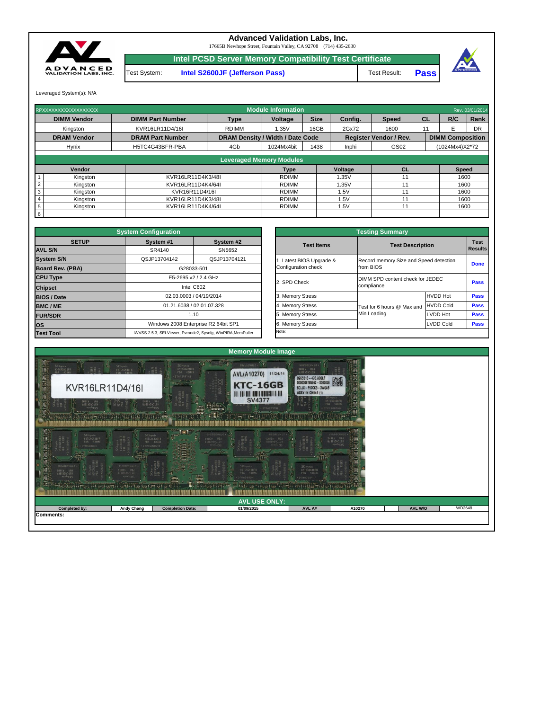Leveraged System(s): N/A



## **Advanced Validation Labs, Inc.**

**Intel S2600JF (Jefferson Pass)** Test Result: Test System: **Pass**



17665B Newhope Street, Fountain Valley, CA 92708 (714) 435-2630

**Intel PCSD Server Memory Compatibility Test Certificate**

| RPXXXXXXXXXXXXXXXXXX        |                         |                                         | <b>Module Information</b>       |             |         |                               |           |                         | Rev. 03/01/2014 |
|-----------------------------|-------------------------|-----------------------------------------|---------------------------------|-------------|---------|-------------------------------|-----------|-------------------------|-----------------|
| <b>DIMM Vendor</b>          | <b>DIMM Part Number</b> | <b>Type</b>                             | <b>Voltage</b>                  | <b>Size</b> | Config. | <b>Speed</b>                  | <b>CL</b> | R/C                     | Rank            |
| Kingston                    | KVR16LR11D4/16I         | <b>RDIMM</b>                            | 1.35V                           | 16GB        | 2Gx72   | 1600                          | 11        |                         | <b>DR</b>       |
| <b>DRAM Vendor</b>          | <b>DRAM Part Number</b> | <b>DRAM Density / Width / Date Code</b> |                                 |             |         | <b>Register Vendor / Rev.</b> |           | <b>DIMM Composition</b> |                 |
| <b>Hynix</b>                | H5TC4G43BFR-PBA         | 4Gb                                     | 1024Mx4bit                      | 1438        | Inphi   | GS02                          |           | (1024Mx4)X2*72          |                 |
|                             |                         |                                         |                                 |             |         |                               |           |                         |                 |
|                             |                         |                                         | <b>Leveraged Memory Modules</b> |             |         |                               |           |                         |                 |
| Vendor                      |                         |                                         | Type                            |             | Voltage | <b>CL</b>                     |           | <b>Speed</b>            |                 |
| Kingston                    | KVR16LR11D4K3/48I       |                                         | <b>RDIMM</b>                    |             | 1.35V   | 11                            |           | 1600                    |                 |
| Kingston                    | KVR16LR11D4K4/64I       |                                         | <b>RDIMM</b>                    |             | 1.35V   | 11                            |           | 1600                    |                 |
| 3<br>Kingston               | KVR16R11D4/16I          |                                         | <b>RDIMM</b>                    |             | .5V     | 11                            |           | 1600                    |                 |
| Kingston                    | KVR16LR11D4K3/48I       |                                         | <b>RDIMM</b>                    |             | .5V     | 11                            |           | 1600                    |                 |
| $5\overline{)}$<br>Kingston | KVR16LR11D4K4/64I       |                                         | <b>RDIMM</b>                    |             | .5V     | 11                            |           | 1600                    |                 |
| $6\overline{6}$             |                         |                                         |                                 |             |         |                               |           |                         |                 |

|              | <b>System Configuration</b> |                                                             |                         | <b>Testing Summary</b>                 |                  |                |
|--------------|-----------------------------|-------------------------------------------------------------|-------------------------|----------------------------------------|------------------|----------------|
| <b>SETUP</b> | System #1                   | System #2                                                   | <b>Test Items</b>       | <b>Test Description</b>                |                  | <b>Test</b>    |
|              | SR4140                      | SN5652                                                      |                         |                                        |                  | <b>Results</b> |
|              | QSJP13704142                | QSJP13704121                                                | . Latest BIOS Upgrade & | Record memory Size and Speed detection |                  |                |
| <b>BA)</b>   |                             | G28033-501                                                  | Configuration check     | from BIOS                              |                  | <b>Done</b>    |
|              |                             | E5-2695 v2 / 2.4 GHz                                        |                         | DIMM SPD content check for JEDEC       |                  |                |
|              |                             | Intel C602                                                  | 2. SPD Check            | compliance                             |                  | <b>Pass</b>    |
|              |                             | 02.03.0003 / 04/19/2014                                     | 3. Memory Stress        |                                        | <b>HVDD Hot</b>  | <b>Pass</b>    |
|              |                             | 01.21.6038 / 02.01.07.328                                   | 4. Memory Stress        | Test for 6 hours @ Max and             | <b>HVDD Cold</b> | <b>Pass</b>    |
|              |                             | 1.10                                                        | 5. Memory Stress        | Min Loading                            | LVDD Hot         | <b>Pass</b>    |
|              |                             | Windows 2008 Enterprise R2 64bit SP1                        | 6. Memory Stress        |                                        | <b>LVDD Cold</b> | <b>Pass</b>    |
|              |                             | iWVSS 2.5.3, SELViewer, Pvmode2, Syscfg, WinPIRA, MemPuller | Note:                   |                                        |                  |                |

|                         | <b>System Configuration</b>  |                                                             |                          | <b>Testing Summary</b>                 |                  |                |
|-------------------------|------------------------------|-------------------------------------------------------------|--------------------------|----------------------------------------|------------------|----------------|
| <b>SETUP</b>            | System #1                    | System #2                                                   | <b>Test Items</b>        | <b>Test Description</b>                |                  | <b>Test</b>    |
| <b>AVL S/N</b>          | SR4140                       | SN5652                                                      |                          |                                        |                  | <b>Results</b> |
| <b>System S/N</b>       | QSJP13704142<br>QSJP13704121 |                                                             | 1. Latest BIOS Upgrade & | Record memory Size and Speed detection |                  | <b>Done</b>    |
| <b>Board Rev. (PBA)</b> |                              | G28033-501                                                  | Configuration check      | from BIOS                              |                  |                |
| <b>CPU Type</b>         |                              | E5-2695 v2 / 2.4 GHz                                        | 2. SPD Check             | DIMM SPD content check for JEDEC       |                  | <b>Pass</b>    |
| <b>Chipset</b>          |                              | Intel C602                                                  |                          | compliance                             |                  |                |
| <b>BIOS / Date</b>      |                              | 02.03.0003 / 04/19/2014                                     | 3. Memory Stress         |                                        | <b>HVDD Hot</b>  | <b>Pass</b>    |
| <b>BMC/ME</b>           |                              | 01.21.6038 / 02.01.07.328                                   | 4. Memory Stress         | Test for 6 hours @ Max and             | <b>HVDD Cold</b> | <b>Pass</b>    |
| <b>FUR/SDR</b>          |                              | 1.10                                                        | 5. Memory Stress         | Min Loading                            | LVDD Hot         | <b>Pass</b>    |
| <b>OS</b>               |                              | Windows 2008 Enterprise R2 64bit SP1                        | 6. Memory Stress         |                                        | <b>LVDD Cold</b> | <b>Pass</b>    |
| <b>Test Tool</b>        |                              | iWVSS 2.5.3, SELViewer, Pvmode2, Syscfg, WinPIRA, MemPuller | Note:                    |                                        |                  |                |

| $rac{1}{2}$<br>HHBBEHNID .<br><b>PBA AJBER</b><br><b>SKhynix</b><br>地球<br>n yyy | EHSBBSANT4<br><b>VB4</b><br>43942<br>19768989772<br>$\odot$<br><b>xingri 212</b><br>ecoresce cod (o) possesso = a = proceperacepe<br>  FTDETA = 1 = 1105.54 PEGE SGG FOR 5.1 = 11 | $\sqrt{a}$<br><b>The State</b><br><b>Bigger</b><br><b>Administration</b><br><b>Marine British</b><br>$-11$<br>$\pm$ $\pm$ | 38<br>SKhynix<br>H5TC4G43BFR<br><b>ABB</b><br>438WS<br><b>HESBEAMT0</b><br><b>COLEMAN</b><br>$- -$ | SKhynix<br>H5TC4G43BFR<br>PBA 438HS<br>· DTMA3009HA |        |                |        |
|---------------------------------------------------------------------------------|-----------------------------------------------------------------------------------------------------------------------------------------------------------------------------------|---------------------------------------------------------------------------------------------------------------------------|----------------------------------------------------------------------------------------------------|-----------------------------------------------------|--------|----------------|--------|
|                                                                                 |                                                                                                                                                                                   |                                                                                                                           | <b>AVL USE ONLY:</b>                                                                               |                                                     |        |                |        |
| <b>Completed by:</b>                                                            | <b>Andy Chang</b>                                                                                                                                                                 | <b>Completion Date:</b>                                                                                                   | 01/09/2015                                                                                         | AVL A#                                              | A10270 | <b>AVL W/O</b> | WD2648 |